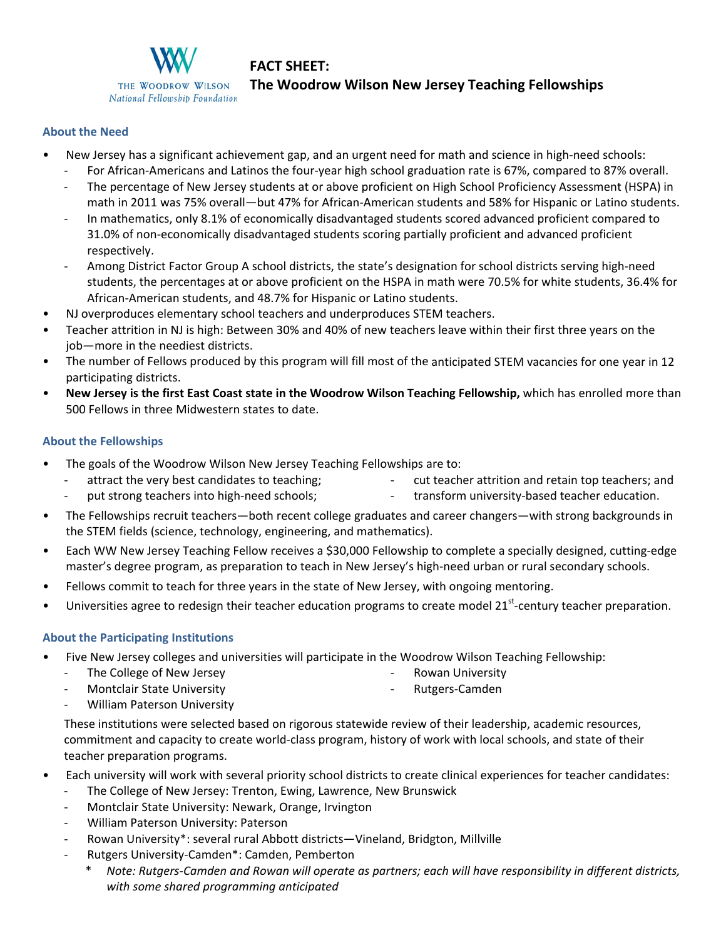

# **FACT SHEET:**

## **The Woodrow Wilson New Jersey Teaching Fellowships**

#### **About the Need**

- New Jersey has a significant achievement gap, and an urgent need for math and science in high‐need schools:
	- ‐ For African‐Americans and Latinos the four‐year high school graduation rate is 67%, compared to 87% overall.
	- ‐ The percentage of New Jersey students at or above proficient on High School Proficiency Assessment (HSPA) in math in 2011 was 75% overall—but 47% for African-American students and 58% for Hispanic or Latino students.
	- ‐ In mathematics, only 8.1% of economically disadvantaged students scored advanced proficient compared to 31.0% of non‐economically disadvantaged students scoring partially proficient and advanced proficient respectively.
	- ‐ Among District Factor Group A school districts, the state's designation for school districts serving high‐need students, the percentages at or above proficient on the HSPA in math were 70.5% for white students, 36.4% for African‐American students, and 48.7% for Hispanic or Latino students.
- NJ overproduces elementary school teachers and underproduces STEM teachers.
- Teacher attrition in NJ is high: Between 30% and 40% of new teachers leave within their first three years on the job—more in the neediest districts.
- The number of Fellows produced by this program will fill most of the anticipated STEM vacancies for one year in 12 participating districts.
- **New Jersey is the first East Coast state in the Woodrow Wilson Teaching Fellowship,** which has enrolled more than 500 Fellows in three Midwestern states to date.

#### **About the Fellowships**

- The goals of the Woodrow Wilson New Jersey Teaching Fellowships are to:
	- ‐ cut teacher attrition and retain top teachers; and

‐ transform university‐based teacher education.

- ‐ attract the very best candidates to teaching; put strong teachers into high-need schools;
- The Fellowships recruit teachers—both recent college graduates and career changers—with strong backgrounds in the STEM fields (science, technology, engineering, and mathematics).
- Each WW New Jersey Teaching Fellow receives a \$30,000 Fellowship to complete a specially designed, cutting‐edge master's degree program, as preparation to teach in New Jersey's high‐need urban or rural secondary schools.
- Fellows commit to teach for three years in the state of New Jersey, with ongoing mentoring.
- Universities agree to redesign their teacher education programs to create model 21<sup>st</sup>-century teacher preparation.

#### **About the Participating Institutions**

- Five New Jersey colleges and universities will participate in the Woodrow Wilson Teaching Fellowship:
	- ‐ The College of New Jersey
- ‐ Rowan University
- ‐ Montclair State University
- ‐ William Paterson University
- ‐ Rutgers‐Camden
- These institutions were selected based on rigorous statewide review of their leadership, academic resources, commitment and capacity to create world‐class program, history of work with local schools, and state of their teacher preparation programs.
- Each university will work with several priority school districts to create clinical experiences for teacher candidates:
	- The College of New Jersey: Trenton, Ewing, Lawrence, New Brunswick
	- ‐ Montclair State University: Newark, Orange, Irvington
	- ‐ William Paterson University: Paterson
	- ‐ Rowan University\*: several rural Abbott districts—Vineland, Bridgton, Millville
	- ‐ Rutgers University‐Camden\*: Camden, Pemberton
		- Note: Rutgers-Camden and Rowan will operate as partners; each will have responsibility in different districts, *with some shared programming anticipated*